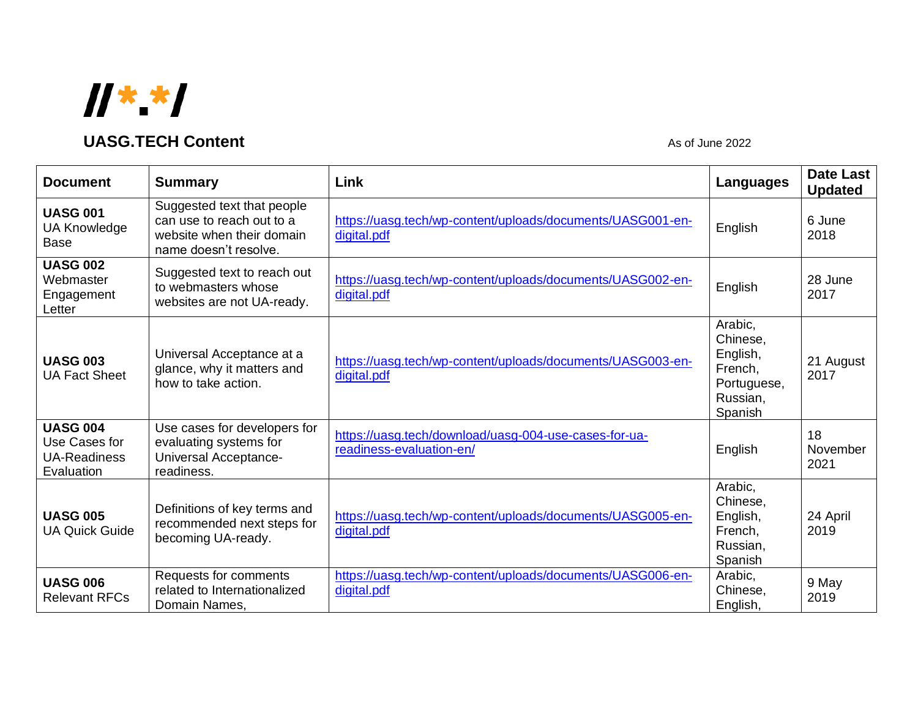

## **UASG.TECH Content** As of June 2022

| <b>Document</b>                                                       | <b>Summary</b>                                                                                                | Link                                                                              | Languages                                                                        | <b>Date Last</b><br><b>Updated</b> |
|-----------------------------------------------------------------------|---------------------------------------------------------------------------------------------------------------|-----------------------------------------------------------------------------------|----------------------------------------------------------------------------------|------------------------------------|
| <b>UASG 001</b><br><b>UA Knowledge</b><br><b>Base</b>                 | Suggested text that people<br>can use to reach out to a<br>website when their domain<br>name doesn't resolve. | https://uasg.tech/wp-content/uploads/documents/UASG001-en-<br>digital.pdf         | English                                                                          | 6 June<br>2018                     |
| <b>UASG 002</b><br>Webmaster<br>Engagement<br>Letter                  | Suggested text to reach out<br>to webmasters whose<br>websites are not UA-ready.                              | https://uasg.tech/wp-content/uploads/documents/UASG002-en-<br>digital.pdf         | English                                                                          | 28 June<br>2017                    |
| <b>UASG 003</b><br><b>UA Fact Sheet</b>                               | Universal Acceptance at a<br>glance, why it matters and<br>how to take action.                                | https://uasg.tech/wp-content/uploads/documents/UASG003-en-<br>digital.pdf         | Arabic,<br>Chinese,<br>English,<br>French,<br>Portuguese,<br>Russian,<br>Spanish | 21 August<br>2017                  |
| <b>UASG 004</b><br>Use Cases for<br><b>UA-Readiness</b><br>Evaluation | Use cases for developers for<br>evaluating systems for<br>Universal Acceptance-<br>readiness.                 | https://uasg.tech/download/uasg-004-use-cases-for-ua-<br>readiness-evaluation-en/ | English                                                                          | 18<br>November<br>2021             |
| <b>UASG 005</b><br><b>UA Quick Guide</b>                              | Definitions of key terms and<br>recommended next steps for<br>becoming UA-ready.                              | https://uasg.tech/wp-content/uploads/documents/UASG005-en-<br>digital.pdf         | Arabic,<br>Chinese,<br>English,<br>French,<br>Russian,<br>Spanish                | 24 April<br>2019                   |
| <b>UASG 006</b><br><b>Relevant RFCs</b>                               | Requests for comments<br>related to Internationalized<br>Domain Names,                                        | https://uasg.tech/wp-content/uploads/documents/UASG006-en-<br>digital.pdf         | Arabic,<br>Chinese,<br>English,                                                  | 9 May<br>2019                      |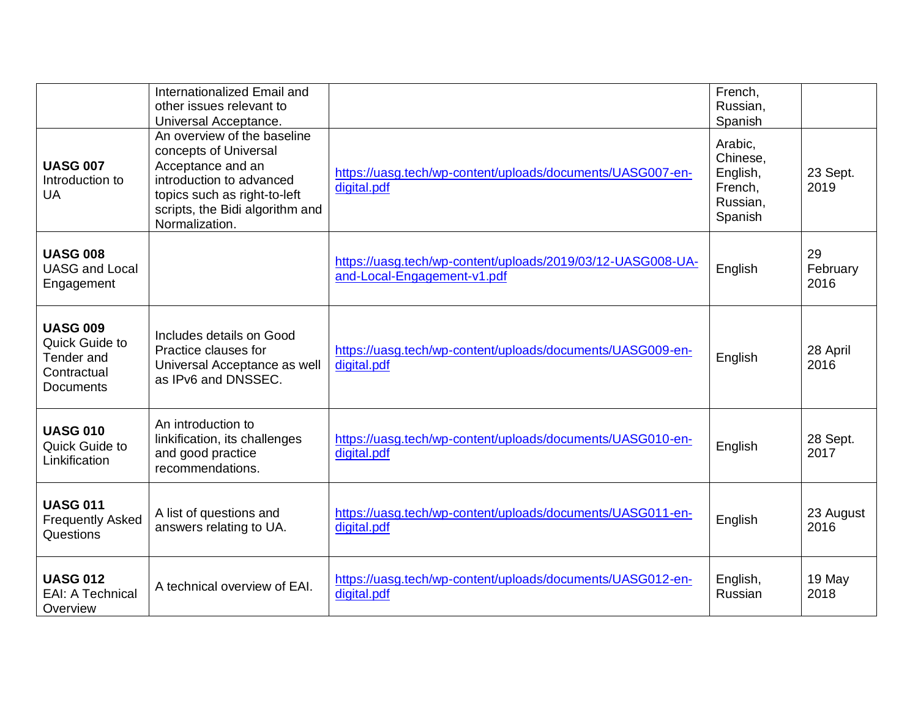|                                                                                    | Internationalized Email and<br>other issues relevant to<br>Universal Acceptance.                                                                                                           |                                                                                            | French,<br>Russian,<br>Spanish                                    |                        |
|------------------------------------------------------------------------------------|--------------------------------------------------------------------------------------------------------------------------------------------------------------------------------------------|--------------------------------------------------------------------------------------------|-------------------------------------------------------------------|------------------------|
| <b>UASG 007</b><br>Introduction to<br>UA                                           | An overview of the baseline<br>concepts of Universal<br>Acceptance and an<br>introduction to advanced<br>topics such as right-to-left<br>scripts, the Bidi algorithm and<br>Normalization. | https://uasg.tech/wp-content/uploads/documents/UASG007-en-<br>digital.pdf                  | Arabic,<br>Chinese,<br>English,<br>French,<br>Russian,<br>Spanish | 23 Sept.<br>2019       |
| <b>UASG 008</b><br><b>UASG and Local</b><br>Engagement                             |                                                                                                                                                                                            | https://uasg.tech/wp-content/uploads/2019/03/12-UASG008-UA-<br>and-Local-Engagement-v1.pdf | English                                                           | 29<br>February<br>2016 |
| <b>UASG 009</b><br>Quick Guide to<br>Tender and<br>Contractual<br><b>Documents</b> | Includes details on Good<br>Practice clauses for<br>Universal Acceptance as well<br>as IPv6 and DNSSEC.                                                                                    | https://uasg.tech/wp-content/uploads/documents/UASG009-en-<br>digital.pdf                  | English                                                           | 28 April<br>2016       |
| <b>UASG 010</b><br>Quick Guide to<br>Linkification                                 | An introduction to<br>linkification, its challenges<br>and good practice<br>recommendations.                                                                                               | https://uasg.tech/wp-content/uploads/documents/UASG010-en-<br>digital.pdf                  | English                                                           | 28 Sept.<br>2017       |
| <b>UASG 011</b><br><b>Frequently Asked</b><br>Questions                            | A list of questions and<br>answers relating to UA.                                                                                                                                         | https://uasg.tech/wp-content/uploads/documents/UASG011-en-<br>digital.pdf                  | English                                                           | 23 August<br>2016      |
| <b>UASG 012</b><br><b>EAI: A Technical</b><br>Overview                             | A technical overview of EAI.                                                                                                                                                               | https://uasg.tech/wp-content/uploads/documents/UASG012-en-<br>digital.pdf                  | English,<br>Russian                                               | 19 May<br>2018         |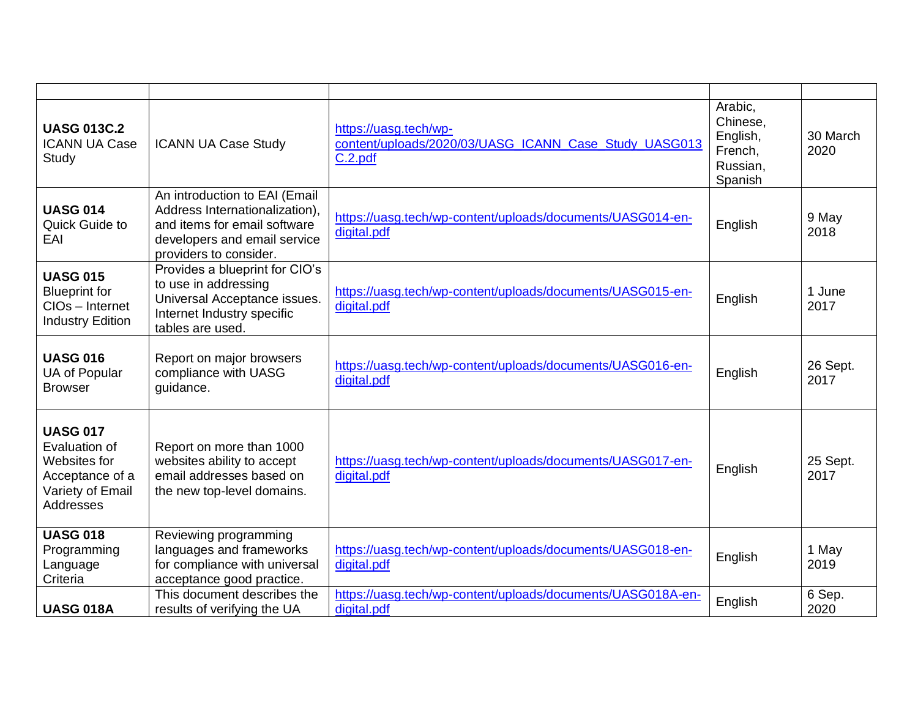| <b>UASG 013C.2</b><br><b>ICANN UA Case</b><br>Study                                                         | <b>ICANN UA Case Study</b>                                                                                                                                | https://uasg.tech/wp-<br>content/uploads/2020/03/UASG_ICANN_Case_Study_UASG013<br>C.2.pdf | Arabic,<br>Chinese,<br>English,<br>French,<br>Russian,<br>Spanish | 30 March<br>2020 |
|-------------------------------------------------------------------------------------------------------------|-----------------------------------------------------------------------------------------------------------------------------------------------------------|-------------------------------------------------------------------------------------------|-------------------------------------------------------------------|------------------|
| <b>UASG 014</b><br>Quick Guide to<br>EAI                                                                    | An introduction to EAI (Email<br>Address Internationalization),<br>and items for email software<br>developers and email service<br>providers to consider. | https://uasg.tech/wp-content/uploads/documents/UASG014-en-<br>digital.pdf                 | English                                                           | 9 May<br>2018    |
| <b>UASG 015</b><br><b>Blueprint for</b><br>CIOs - Internet<br><b>Industry Edition</b>                       | Provides a blueprint for CIO's<br>to use in addressing<br>Universal Acceptance issues.<br>Internet Industry specific<br>tables are used.                  | https://uasg.tech/wp-content/uploads/documents/UASG015-en-<br>digital.pdf                 | English                                                           | 1 June<br>2017   |
| <b>UASG 016</b><br>UA of Popular<br><b>Browser</b>                                                          | Report on major browsers<br>compliance with UASG<br>guidance.                                                                                             | https://uasg.tech/wp-content/uploads/documents/UASG016-en-<br>digital.pdf                 | English                                                           | 26 Sept.<br>2017 |
| <b>UASG 017</b><br>Evaluation of<br>Websites for<br>Acceptance of a<br>Variety of Email<br><b>Addresses</b> | Report on more than 1000<br>websites ability to accept<br>email addresses based on<br>the new top-level domains.                                          | https://uasg.tech/wp-content/uploads/documents/UASG017-en-<br>digital.pdf                 | English                                                           | 25 Sept.<br>2017 |
| <b>UASG 018</b><br>Programming<br>Language<br>Criteria                                                      | Reviewing programming<br>languages and frameworks<br>for compliance with universal<br>acceptance good practice.                                           | https://uasg.tech/wp-content/uploads/documents/UASG018-en-<br>digital.pdf                 | English                                                           | 1 May<br>2019    |
| <b>UASG 018A</b>                                                                                            | This document describes the<br>results of verifying the UA                                                                                                | https://uasg.tech/wp-content/uploads/documents/UASG018A-en-<br>digital.pdf                | English                                                           | 6 Sep.<br>2020   |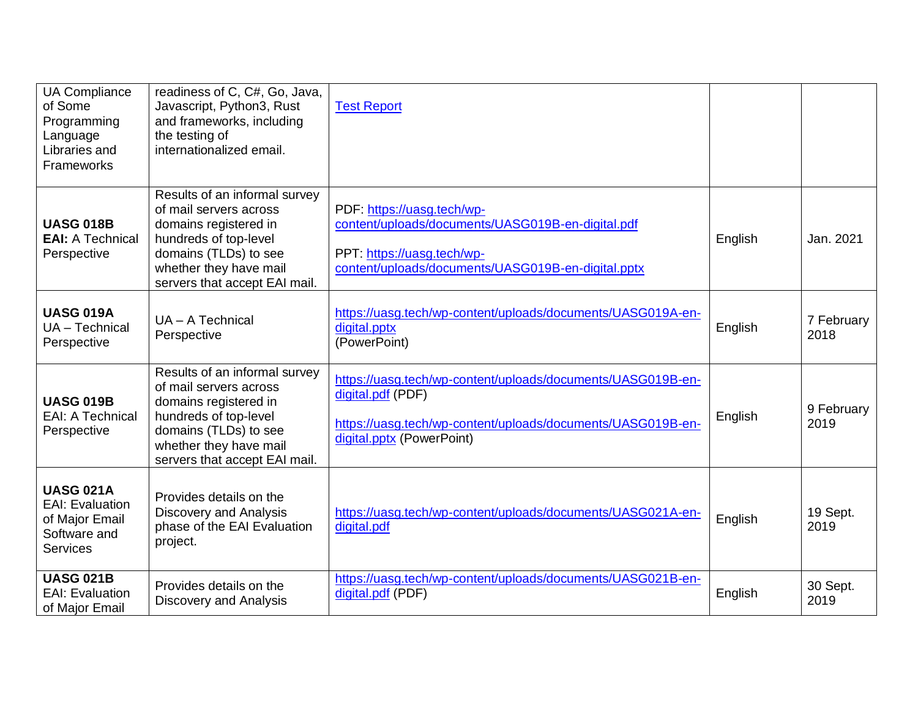| <b>UA Compliance</b><br>of Some<br>Programming<br>Language<br>Libraries and<br>Frameworks       | readiness of C, C#, Go, Java,<br>Javascript, Python3, Rust<br>and frameworks, including<br>the testing of<br>internationalized email.                                                         | <b>Test Report</b>                                                                                                                                                           |         |                    |
|-------------------------------------------------------------------------------------------------|-----------------------------------------------------------------------------------------------------------------------------------------------------------------------------------------------|------------------------------------------------------------------------------------------------------------------------------------------------------------------------------|---------|--------------------|
| <b>UASG 018B</b><br><b>EAI: A Technical</b><br>Perspective                                      | Results of an informal survey<br>of mail servers across<br>domains registered in<br>hundreds of top-level<br>domains (TLDs) to see<br>whether they have mail<br>servers that accept EAI mail. | PDF: https://uasg.tech/wp-<br>content/uploads/documents/UASG019B-en-digital.pdf<br>PPT: https://uasg.tech/wp-<br>content/uploads/documents/UASG019B-en-digital.pptx          | English | Jan. 2021          |
| <b>UASG 019A</b><br>UA - Technical<br>Perspective                                               | UA - A Technical<br>Perspective                                                                                                                                                               | https://uasg.tech/wp-content/uploads/documents/UASG019A-en-<br>digital.pptx<br>(PowerPoint)                                                                                  | English | 7 February<br>2018 |
| <b>UASG 019B</b><br><b>EAI: A Technical</b><br>Perspective                                      | Results of an informal survey<br>of mail servers across<br>domains registered in<br>hundreds of top-level<br>domains (TLDs) to see<br>whether they have mail<br>servers that accept EAI mail. | https://uasg.tech/wp-content/uploads/documents/UASG019B-en-<br>digital.pdf (PDF)<br>https://uasg.tech/wp-content/uploads/documents/UASG019B-en-<br>digital.pptx (PowerPoint) | English | 9 February<br>2019 |
| <b>UASG 021A</b><br><b>EAI: Evaluation</b><br>of Major Email<br>Software and<br><b>Services</b> | Provides details on the<br><b>Discovery and Analysis</b><br>phase of the EAI Evaluation<br>project.                                                                                           | https://uasg.tech/wp-content/uploads/documents/UASG021A-en-<br>digital.pdf                                                                                                   | English | 19 Sept.<br>2019   |
| <b>UASG 021B</b><br><b>EAI: Evaluation</b><br>of Major Email                                    | Provides details on the<br>Discovery and Analysis                                                                                                                                             | https://uasg.tech/wp-content/uploads/documents/UASG021B-en-<br>digital.pdf (PDF)                                                                                             | English | 30 Sept.<br>2019   |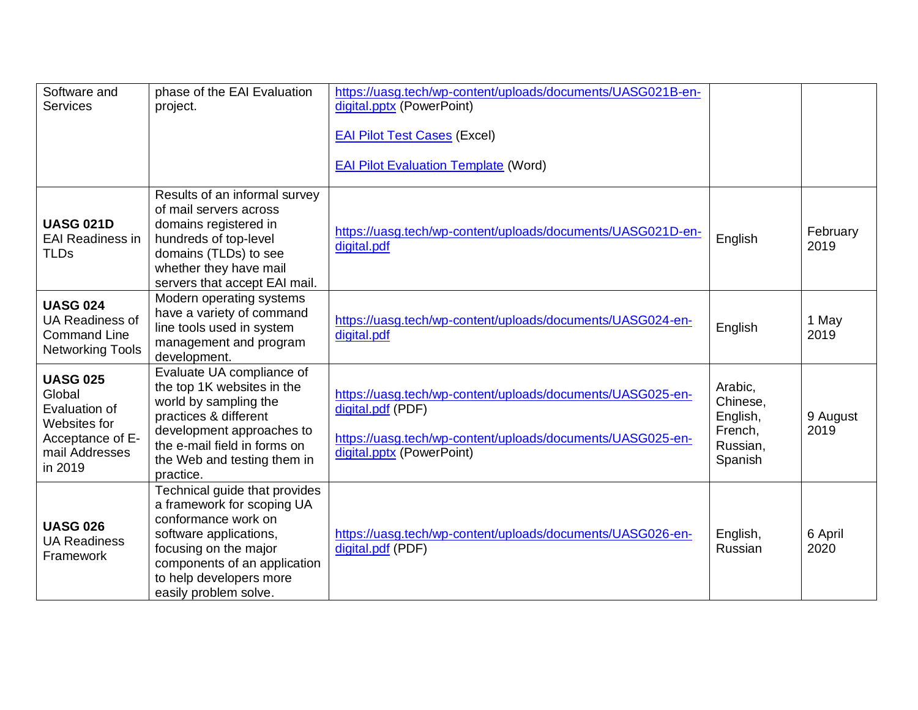| Software and<br><b>Services</b>                                                                             | phase of the EAI Evaluation<br>project.                                                                                                                                                                                   | https://uasg.tech/wp-content/uploads/documents/UASG021B-en-<br>digital.pptx (PowerPoint)<br><b>EAI Pilot Test Cases (Excel)</b><br><b>EAI Pilot Evaluation Template (Word)</b> |                                                                   |                  |
|-------------------------------------------------------------------------------------------------------------|---------------------------------------------------------------------------------------------------------------------------------------------------------------------------------------------------------------------------|--------------------------------------------------------------------------------------------------------------------------------------------------------------------------------|-------------------------------------------------------------------|------------------|
| <b>UASG 021D</b><br><b>EAI Readiness in</b><br><b>TLDs</b>                                                  | Results of an informal survey<br>of mail servers across<br>domains registered in<br>hundreds of top-level<br>domains (TLDs) to see<br>whether they have mail<br>servers that accept EAI mail.                             | https://uasg.tech/wp-content/uploads/documents/UASG021D-en-<br>digital.pdf                                                                                                     | English                                                           | February<br>2019 |
| <b>UASG 024</b><br>UA Readiness of<br><b>Command Line</b><br><b>Networking Tools</b>                        | Modern operating systems<br>have a variety of command<br>line tools used in system<br>management and program<br>development.                                                                                              | https://uasg.tech/wp-content/uploads/documents/UASG024-en-<br>digital.pdf                                                                                                      | English                                                           | 1 May<br>2019    |
| <b>UASG 025</b><br>Global<br>Evaluation of<br>Websites for<br>Acceptance of E-<br>mail Addresses<br>in 2019 | Evaluate UA compliance of<br>the top 1K websites in the<br>world by sampling the<br>practices & different<br>development approaches to<br>the e-mail field in forms on<br>the Web and testing them in<br>practice.        | https://uasg.tech/wp-content/uploads/documents/UASG025-en-<br>digital.pdf (PDF)<br>https://uasg.tech/wp-content/uploads/documents/UASG025-en-<br>digital.pptx (PowerPoint)     | Arabic,<br>Chinese,<br>English,<br>French,<br>Russian,<br>Spanish | 9 August<br>2019 |
| <b>UASG 026</b><br><b>UA Readiness</b><br>Framework                                                         | Technical guide that provides<br>a framework for scoping UA<br>conformance work on<br>software applications,<br>focusing on the major<br>components of an application<br>to help developers more<br>easily problem solve. | https://uasg.tech/wp-content/uploads/documents/UASG026-en-<br>digital.pdf (PDF)                                                                                                | English,<br>Russian                                               | 6 April<br>2020  |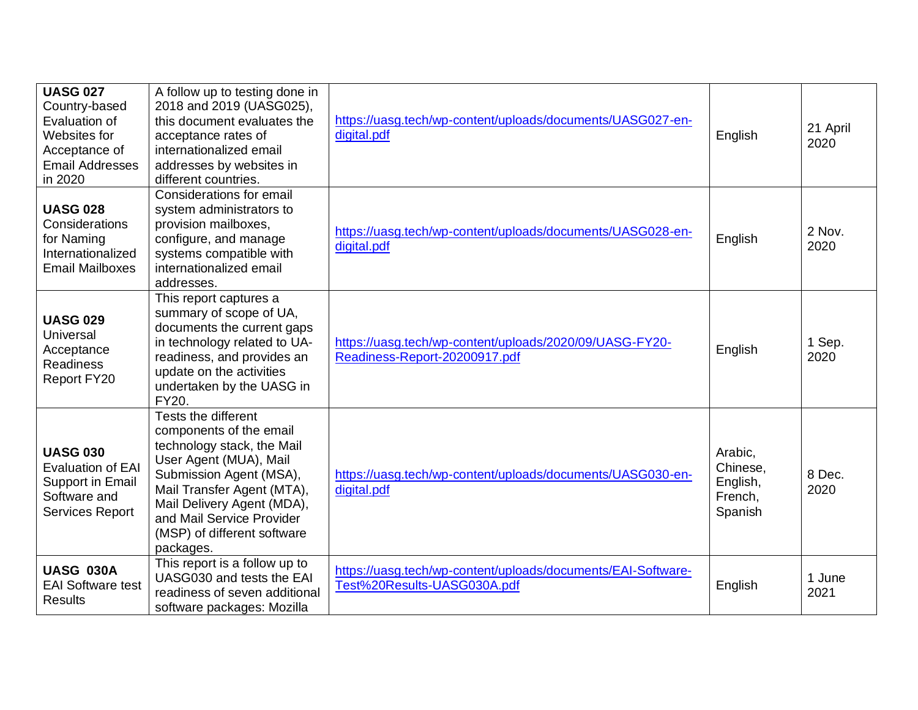| <b>UASG 027</b><br>Country-based<br>Evaluation of<br>Websites for<br>Acceptance of<br><b>Email Addresses</b><br>in 2020 | A follow up to testing done in<br>2018 and 2019 (UASG025),<br>this document evaluates the<br>acceptance rates of<br>internationalized email<br>addresses by websites in<br>different countries.                                                                        | https://uasg.tech/wp-content/uploads/documents/UASG027-en-<br>digital.pdf                   | English                                               | 21 April<br>2020 |
|-------------------------------------------------------------------------------------------------------------------------|------------------------------------------------------------------------------------------------------------------------------------------------------------------------------------------------------------------------------------------------------------------------|---------------------------------------------------------------------------------------------|-------------------------------------------------------|------------------|
| <b>UASG 028</b><br>Considerations<br>for Naming<br>Internationalized<br><b>Email Mailboxes</b>                          | Considerations for email<br>system administrators to<br>provision mailboxes,<br>configure, and manage<br>systems compatible with<br>internationalized email<br>addresses.                                                                                              | https://uasg.tech/wp-content/uploads/documents/UASG028-en-<br>digital.pdf                   | English                                               | 2 Nov.<br>2020   |
| <b>UASG 029</b><br>Universal<br>Acceptance<br><b>Readiness</b><br>Report FY20                                           | This report captures a<br>summary of scope of UA,<br>documents the current gaps<br>in technology related to UA-<br>readiness, and provides an<br>update on the activities<br>undertaken by the UASG in<br>FY20.                                                        | https://uasg.tech/wp-content/uploads/2020/09/UASG-FY20-<br>Readiness-Report-20200917.pdf    | English                                               | 1 Sep.<br>2020   |
| <b>UASG 030</b><br><b>Evaluation of EAI</b><br>Support in Email<br>Software and<br><b>Services Report</b>               | Tests the different<br>components of the email<br>technology stack, the Mail<br>User Agent (MUA), Mail<br>Submission Agent (MSA),<br>Mail Transfer Agent (MTA),<br>Mail Delivery Agent (MDA),<br>and Mail Service Provider<br>(MSP) of different software<br>packages. | https://uasg.tech/wp-content/uploads/documents/UASG030-en-<br>digital.pdf                   | Arabic,<br>Chinese,<br>English,<br>French,<br>Spanish | 8 Dec.<br>2020   |
| <b>UASG 030A</b><br><b>EAI Software test</b><br><b>Results</b>                                                          | This report is a follow up to<br>UASG030 and tests the EAI<br>readiness of seven additional<br>software packages: Mozilla                                                                                                                                              | https://uasg.tech/wp-content/uploads/documents/EAI-Software-<br>Test%20Results-UASG030A.pdf | English                                               | 1 June<br>2021   |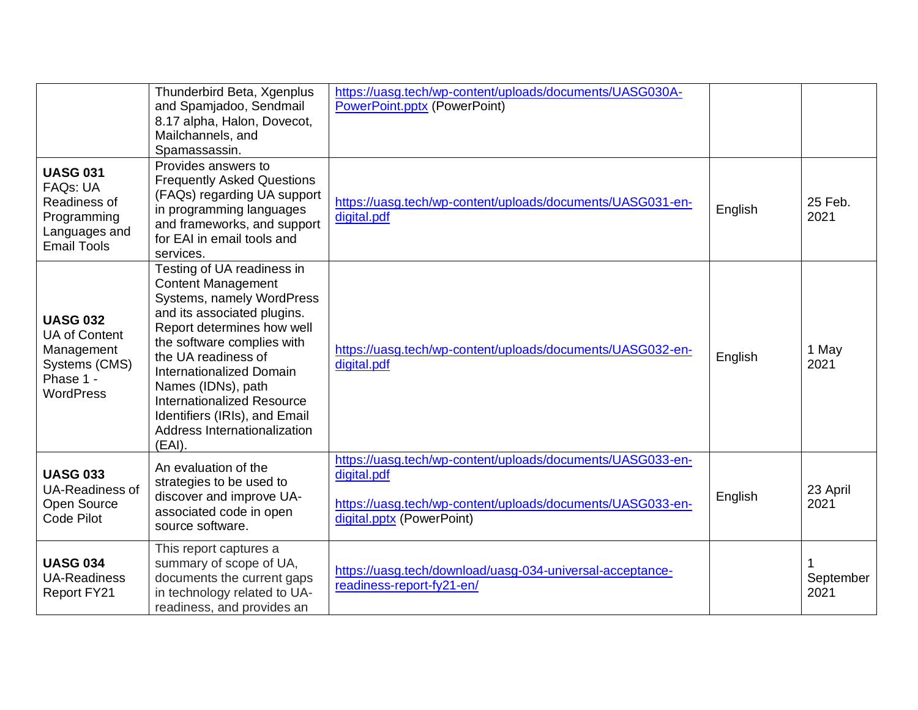|                                                                                                          | Thunderbird Beta, Xgenplus<br>and Spamjadoo, Sendmail<br>8.17 alpha, Halon, Dovecot,<br>Mailchannels, and<br>Spamassassin.                                                                                                                                                                                                                                                      | https://uasg.tech/wp-content/uploads/documents/UASG030A-<br><b>PowerPoint.pptx (PowerPoint)</b>                                                                      |         |                   |
|----------------------------------------------------------------------------------------------------------|---------------------------------------------------------------------------------------------------------------------------------------------------------------------------------------------------------------------------------------------------------------------------------------------------------------------------------------------------------------------------------|----------------------------------------------------------------------------------------------------------------------------------------------------------------------|---------|-------------------|
| <b>UASG 031</b><br><b>FAQs: UA</b><br>Readiness of<br>Programming<br>Languages and<br><b>Email Tools</b> | Provides answers to<br><b>Frequently Asked Questions</b><br>(FAQs) regarding UA support<br>in programming languages<br>and frameworks, and support<br>for EAI in email tools and<br>services.                                                                                                                                                                                   | https://uasg.tech/wp-content/uploads/documents/UASG031-en-<br>digital.pdf                                                                                            | English | 25 Feb.<br>2021   |
| <b>UASG 032</b><br><b>UA of Content</b><br>Management<br>Systems (CMS)<br>Phase 1 -<br><b>WordPress</b>  | Testing of UA readiness in<br><b>Content Management</b><br>Systems, namely WordPress<br>and its associated plugins.<br>Report determines how well<br>the software complies with<br>the UA readiness of<br><b>Internationalized Domain</b><br>Names (IDNs), path<br><b>Internationalized Resource</b><br>Identifiers (IRIs), and Email<br>Address Internationalization<br>(EAI). | https://uasg.tech/wp-content/uploads/documents/UASG032-en-<br>digital.pdf                                                                                            | English | 1 May<br>2021     |
| <b>UASG 033</b><br><b>UA-Readiness of</b><br>Open Source<br><b>Code Pilot</b>                            | An evaluation of the<br>strategies to be used to<br>discover and improve UA-<br>associated code in open<br>source software.                                                                                                                                                                                                                                                     | https://uasg.tech/wp-content/uploads/documents/UASG033-en-<br>digital.pdf<br>https://uasg.tech/wp-content/uploads/documents/UASG033-en-<br>digital.pptx (PowerPoint) | English | 23 April<br>2021  |
| <b>UASG 034</b><br><b>UA-Readiness</b><br>Report FY21                                                    | This report captures a<br>summary of scope of UA,<br>documents the current gaps<br>in technology related to UA-<br>readiness, and provides an                                                                                                                                                                                                                                   | https://uasg.tech/download/uasg-034-universal-acceptance-<br>readiness-report-fy21-en/                                                                               |         | September<br>2021 |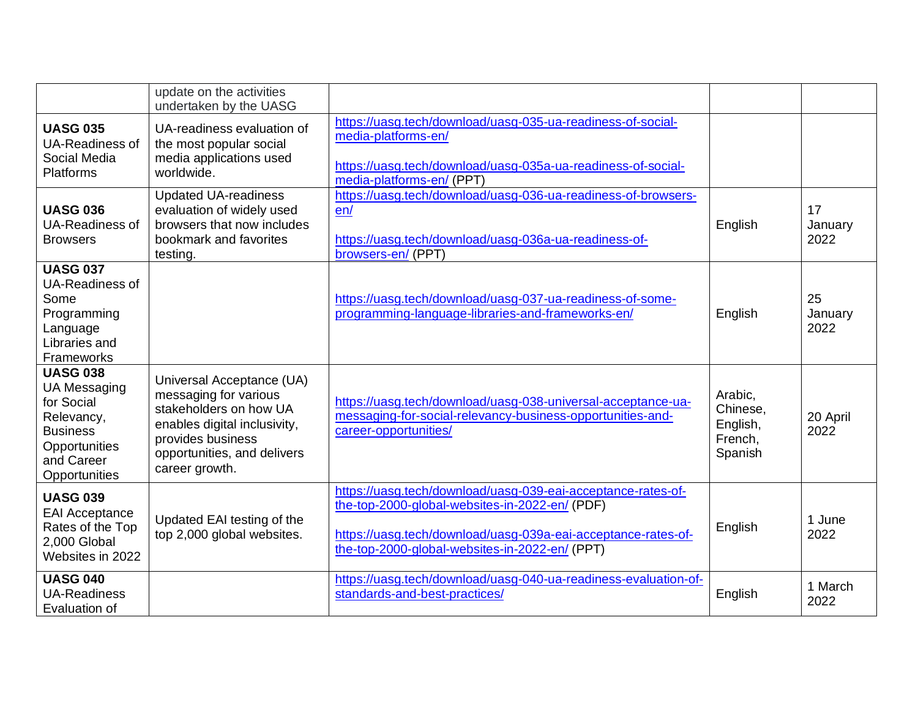|                                                                                                                                       | update on the activities<br>undertaken by the UASG                                                                                                                                 |                                                                                                                                                                                                                                   |                                                       |                       |
|---------------------------------------------------------------------------------------------------------------------------------------|------------------------------------------------------------------------------------------------------------------------------------------------------------------------------------|-----------------------------------------------------------------------------------------------------------------------------------------------------------------------------------------------------------------------------------|-------------------------------------------------------|-----------------------|
| <b>UASG 035</b><br><b>UA-Readiness of</b><br>Social Media<br><b>Platforms</b>                                                         | UA-readiness evaluation of<br>the most popular social<br>media applications used<br>worldwide.                                                                                     | https://uasg.tech/download/uasg-035-ua-readiness-of-social-<br>media-platforms-en/<br>https://uasg.tech/download/uasg-035a-ua-readiness-of-social-<br>media-platforms-en/ (PPT)                                                   |                                                       |                       |
| <b>UASG 036</b><br><b>UA-Readiness of</b><br><b>Browsers</b>                                                                          | <b>Updated UA-readiness</b><br>evaluation of widely used<br>browsers that now includes<br>bookmark and favorites<br>testing.                                                       | https://uasg.tech/download/uasg-036-ua-readiness-of-browsers-<br>en/<br>https://uasg.tech/download/uasg-036a-ua-readiness-of-<br>browsers-en/ (PPT)                                                                               | English                                               | 17<br>January<br>2022 |
| <b>UASG 037</b><br><b>UA-Readiness of</b><br>Some<br>Programming<br>Language<br>Libraries and<br>Frameworks                           |                                                                                                                                                                                    | https://uasg.tech/download/uasg-037-ua-readiness-of-some-<br>programming-language-libraries-and-frameworks-en/                                                                                                                    | English                                               | 25<br>January<br>2022 |
| <b>UASG 038</b><br><b>UA Messaging</b><br>for Social<br>Relevancy,<br><b>Business</b><br>Opportunities<br>and Career<br>Opportunities | Universal Acceptance (UA)<br>messaging for various<br>stakeholders on how UA<br>enables digital inclusivity,<br>provides business<br>opportunities, and delivers<br>career growth. | https://uasg.tech/download/uasg-038-universal-acceptance-ua-<br>messaging-for-social-relevancy-business-opportunities-and-<br>career-opportunities/                                                                               | Arabic,<br>Chinese,<br>English,<br>French,<br>Spanish | 20 April<br>2022      |
| <b>UASG 039</b><br><b>EAI Acceptance</b><br>Rates of the Top<br>2,000 Global<br>Websites in 2022                                      | Updated EAI testing of the<br>top 2,000 global websites.                                                                                                                           | https://uasg.tech/download/uasg-039-eai-acceptance-rates-of-<br>the-top-2000-global-websites-in-2022-en/ (PDF)<br>https://uasg.tech/download/uasg-039a-eai-acceptance-rates-of-<br>the-top-2000-global-websites-in-2022-en/ (PPT) | English                                               | 1 June<br>2022        |
| <b>UASG 040</b><br><b>UA-Readiness</b><br>Evaluation of                                                                               |                                                                                                                                                                                    | https://uasg.tech/download/uasg-040-ua-readiness-evaluation-of-<br>standards-and-best-practices/                                                                                                                                  | English                                               | 1 March<br>2022       |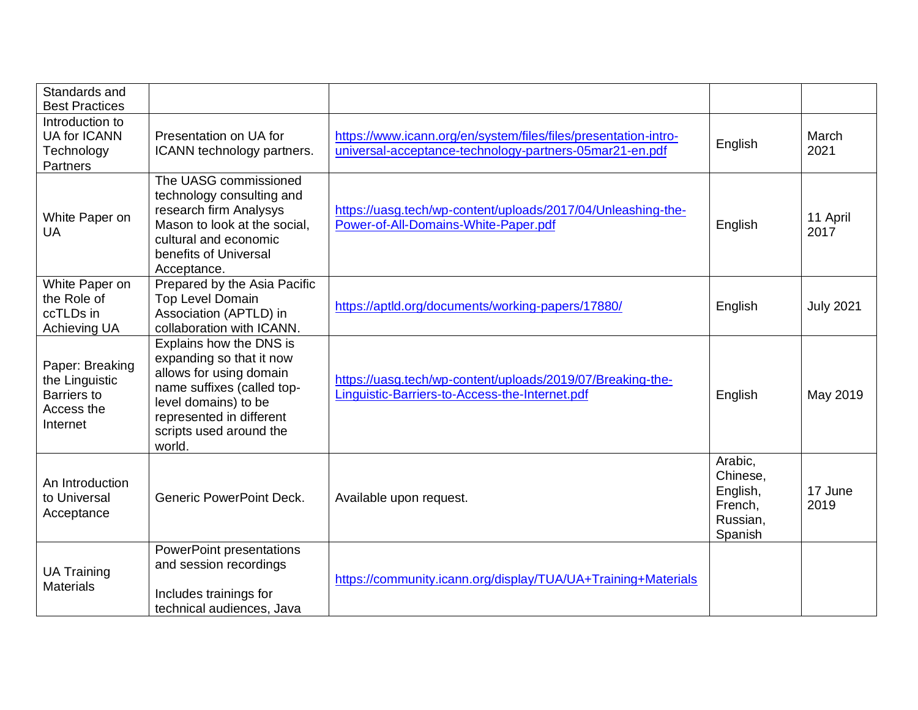| Standards and<br><b>Best Practices</b>                                            |                                                                                                                                                                                                       |                                                                                                                            |                                                                   |                  |
|-----------------------------------------------------------------------------------|-------------------------------------------------------------------------------------------------------------------------------------------------------------------------------------------------------|----------------------------------------------------------------------------------------------------------------------------|-------------------------------------------------------------------|------------------|
| Introduction to<br><b>UA for ICANN</b><br>Technology<br>Partners                  | Presentation on UA for<br>ICANN technology partners.                                                                                                                                                  | https://www.icann.org/en/system/files/files/presentation-intro-<br>universal-acceptance-technology-partners-05mar21-en.pdf | English                                                           | March<br>2021    |
| White Paper on<br>UA                                                              | The UASG commissioned<br>technology consulting and<br>research firm Analysys<br>Mason to look at the social,<br>cultural and economic<br>benefits of Universal<br>Acceptance.                         | https://uasg.tech/wp-content/uploads/2017/04/Unleashing-the-<br>Power-of-All-Domains-White-Paper.pdf                       | English                                                           | 11 April<br>2017 |
| White Paper on<br>the Role of<br>ccTLDs in<br>Achieving UA                        | Prepared by the Asia Pacific<br><b>Top Level Domain</b><br>Association (APTLD) in<br>collaboration with ICANN.                                                                                        | https://aptld.org/documents/working-papers/17880/                                                                          | English                                                           | <b>July 2021</b> |
| Paper: Breaking<br>the Linguistic<br><b>Barriers to</b><br>Access the<br>Internet | Explains how the DNS is<br>expanding so that it now<br>allows for using domain<br>name suffixes (called top-<br>level domains) to be<br>represented in different<br>scripts used around the<br>world. | https://uasg.tech/wp-content/uploads/2019/07/Breaking-the-<br>Linguistic-Barriers-to-Access-the-Internet.pdf               | English                                                           | May 2019         |
| An Introduction<br>to Universal<br>Acceptance                                     | <b>Generic PowerPoint Deck.</b>                                                                                                                                                                       | Available upon request.                                                                                                    | Arabic,<br>Chinese,<br>English,<br>French,<br>Russian,<br>Spanish | 17 June<br>2019  |
| <b>UA Training</b><br><b>Materials</b>                                            | <b>PowerPoint presentations</b><br>and session recordings<br>Includes trainings for<br>technical audiences, Java                                                                                      | https://community.icann.org/display/TUA/UA+Training+Materials                                                              |                                                                   |                  |